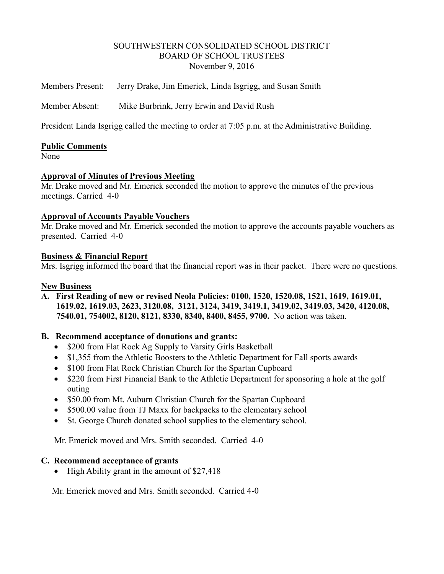#### SOUTHWESTERN CONSOLIDATED SCHOOL DISTRICT BOARD OF SCHOOL TRUSTEES November 9, 2016

Members Present: Jerry Drake, Jim Emerick, Linda Isgrigg, and Susan Smith

Member Absent: Mike Burbrink, Jerry Erwin and David Rush

President Linda Isgrigg called the meeting to order at 7:05 p.m. at the Administrative Building.

#### **Public Comments**

None

#### **Approval of Minutes of Previous Meeting**

Mr. Drake moved and Mr. Emerick seconded the motion to approve the minutes of the previous meetings. Carried 4-0

#### **Approval of Accounts Payable Vouchers**

Mr. Drake moved and Mr. Emerick seconded the motion to approve the accounts payable vouchers as presented. Carried 4-0

#### **Business & Financial Report**

Mrs. Isgrigg informed the board that the financial report was in their packet. There were no questions.

#### **New Business**

**A. First Reading of new or revised Neola Policies: 0100, 1520, 1520.08, 1521, 1619, 1619.01, 1619.02, 1619.03, 2623, 3120.08, 3121, 3124, 3419, 3419.1, 3419.02, 3419.03, 3420, 4120.08, 7540.01, 754002, 8120, 8121, 8330, 8340, 8400, 8455, 9700.** No action was taken.

## **B. Recommend acceptance of donations and grants:**

- \$200 from Flat Rock Ag Supply to Varsity Girls Basketball
- \$1,355 from the Athletic Boosters to the Athletic Department for Fall sports awards
- \$100 from Flat Rock Christian Church for the Spartan Cupboard
- \$220 from First Financial Bank to the Athletic Department for sponsoring a hole at the golf outing
- \$50.00 from Mt. Auburn Christian Church for the Spartan Cupboard
- \$500.00 value from TJ Maxx for backpacks to the elementary school
- St. George Church donated school supplies to the elementary school.

Mr. Emerick moved and Mrs. Smith seconded. Carried 4-0

#### **C. Recommend acceptance of grants**

 $\bullet$  High Ability grant in the amount of \$27,418

Mr. Emerick moved and Mrs. Smith seconded. Carried 4-0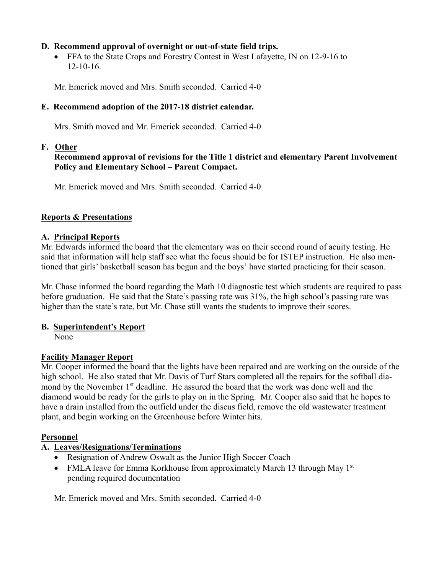## **D. Recommend approval of overnight or out-of-state field trips.**

• FFA to the State Crops and Forestry Contest in West Lafayette, IN on 12-9-16 to 12-10-16.

Mr. Emerick moved and Mrs. Smith seconded. Carried 4-0

# **E. Recommend adoption of the 2017-18 district calendar.**

Mrs. Smith moved and Mr. Emerick seconded. Carried 4-0

## **F. Other**

## **Recommend approval of revisions for the Title 1 district and elementary Parent Involvement Policy and Elementary School – Parent Compact.**

Mr. Emerick moved and Mrs. Smith seconded. Carried 4-0

## **Reports & Presentations**

## **A. Principal Reports**

Mr. Edwards informed the board that the elementary was on their second round of acuity testing. He said that information will help staff see what the focus should be for ISTEP instruction. He also mentioned that girls' basketball season has begun and the boys' have started practicing for their season.

Mr. Chase informed the board regarding the Math 10 diagnostic test which students are required to pass before graduation. He said that the State's passing rate was 31%, the high school's passing rate was higher than the state's rate, but Mr. Chase still wants the students to improve their scores.

## **B. Superintendent's Report**

None

# **Facility Manager Report**

Mr. Cooper informed the board that the lights have been repaired and are working on the outside of the high school. He also stated that Mr. Davis of Turf Stars completed all the repairs for the softball diamond by the November 1<sup>st</sup> deadline. He assured the board that the work was done well and the diamond would be ready for the girls to play on in the Spring. Mr. Cooper also said that he hopes to have a drain installed from the outfield under the discus field, remove the old wastewater treatment plant, and begin working on the Greenhouse before Winter hits.

## **Personnel**

# **A. Leaves/Resignations/Terminations**

- Resignation of Andrew Oswalt as the Junior High Soccer Coach
- FMLA leave for Emma Korkhouse from approximately March 13 through May  $1<sup>st</sup>$ pending required documentation

Mr. Emerick moved and Mrs. Smith seconded. Carried 4-0